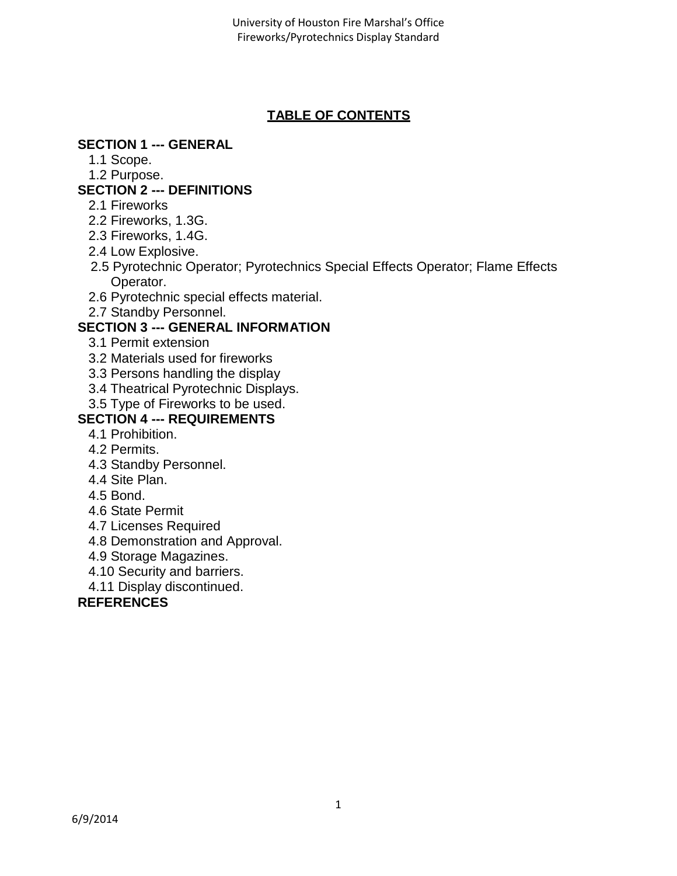# **TABLE OF CONTENTS**

## **SECTION 1 --- GENERAL**

- 1.1 Scope.
- 1.2 Purpose.

# **SECTION 2 --- DEFINITIONS**

- 2.1 Fireworks
- 2.2 Fireworks, 1.3G.
- 2.3 Fireworks, 1.4G.
- 2.4 Low Explosive.
- 2.5 Pyrotechnic Operator; Pyrotechnics Special Effects Operator; Flame Effects Operator.
- 2.6 Pyrotechnic special effects material.
- 2.7 Standby Personnel.

# **SECTION 3 --- GENERAL INFORMATION**

- 3.1 Permit extension
- 3.2 Materials used for fireworks
- 3.3 Persons handling the display
- 3.4 Theatrical Pyrotechnic Displays.
- 3.5 Type of Fireworks to be used.

# **SECTION 4 --- REQUIREMENTS**

- 4.1 Prohibition.
- 4.2 Permits.
- 4.3 Standby Personnel.
- 4.4 Site Plan.
- 4.5 Bond.
- 4.6 State Permit
- 4.7 Licenses Required
- 4.8 Demonstration and Approval.
- 4.9 Storage Magazines.
- 4.10 Security and barriers.
- 4.11 Display discontinued.

## **REFERENCES**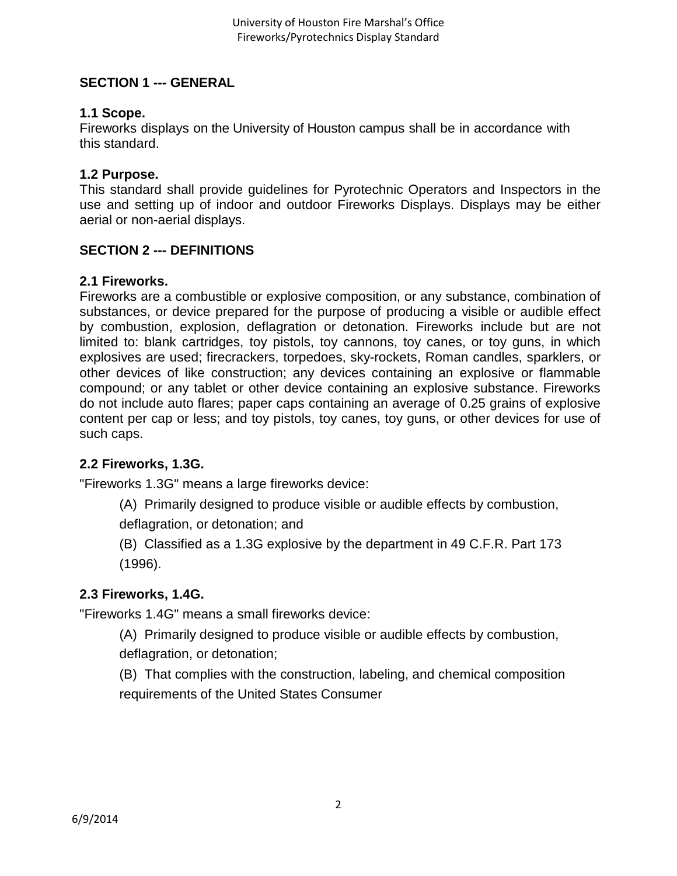## **SECTION 1 --- GENERAL**

## **1.1 Scope.**

Fireworks displays on the University of Houston campus shall be in accordance with this standard.

## **1.2 Purpose.**

This standard shall provide guidelines for Pyrotechnic Operators and Inspectors in the use and setting up of indoor and outdoor Fireworks Displays. Displays may be either aerial or non-aerial displays.

## **SECTION 2 --- DEFINITIONS**

## **2.1 Fireworks.**

Fireworks are a combustible or explosive composition, or any substance, combination of substances, or device prepared for the purpose of producing a visible or audible effect by combustion, explosion, deflagration or detonation. Fireworks include but are not limited to: blank cartridges, toy pistols, toy cannons, toy canes, or toy guns, in which explosives are used; firecrackers, torpedoes, sky-rockets, Roman candles, sparklers, or other devices of like construction; any devices containing an explosive or flammable compound; or any tablet or other device containing an explosive substance. Fireworks do not include auto flares; paper caps containing an average of 0.25 grains of explosive content per cap or less; and toy pistols, toy canes, toy guns, or other devices for use of such caps.

## **2.2 Fireworks, 1.3G.**

"Fireworks 1.3G" means a large fireworks device:

(A) Primarily designed to produce visible or audible effects by combustion,

deflagration, or detonation; and

(B) Classified as a 1.3G explosive by the department in 49 C.F.R. Part 173 (1996).

## **2.3 Fireworks, 1.4G.**

"Fireworks 1.4G" means a small fireworks device:

- (A) Primarily designed to produce visible or audible effects by combustion, deflagration, or detonation;
- (B) That complies with the construction, labeling, and chemical composition requirements of the United States Consumer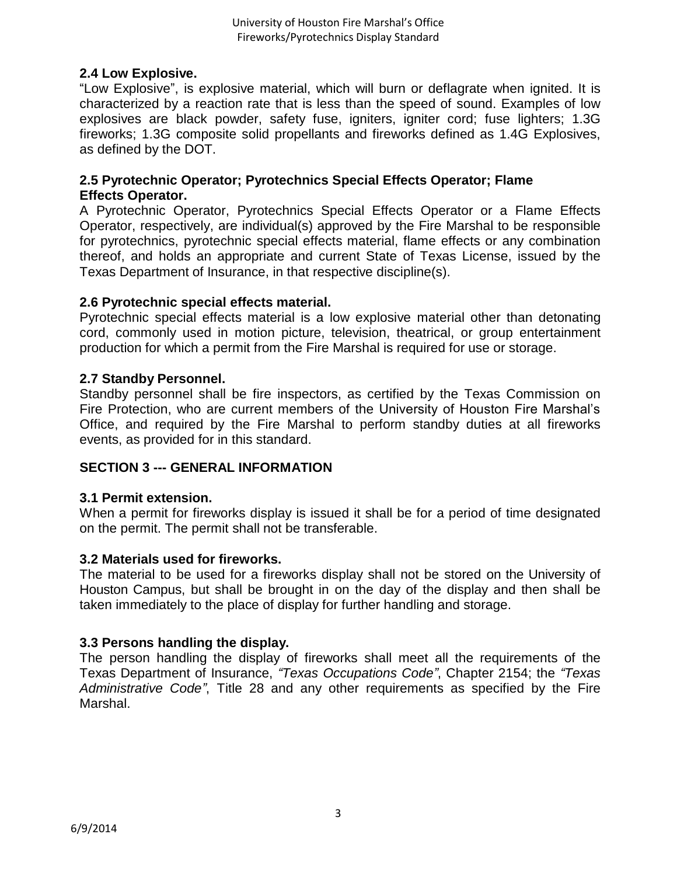## **2.4 Low Explosive.**

"Low Explosive", is explosive material, which will burn or deflagrate when ignited. It is characterized by a reaction rate that is less than the speed of sound. Examples of low explosives are black powder, safety fuse, igniters, igniter cord; fuse lighters; 1.3G fireworks; 1.3G composite solid propellants and fireworks defined as 1.4G Explosives, as defined by the DOT.

## **2.5 Pyrotechnic Operator; Pyrotechnics Special Effects Operator; Flame Effects Operator.**

A Pyrotechnic Operator, Pyrotechnics Special Effects Operator or a Flame Effects Operator, respectively, are individual(s) approved by the Fire Marshal to be responsible for pyrotechnics, pyrotechnic special effects material, flame effects or any combination thereof, and holds an appropriate and current State of Texas License, issued by the Texas Department of Insurance, in that respective discipline(s).

## **2.6 Pyrotechnic special effects material.**

Pyrotechnic special effects material is a low explosive material other than detonating cord, commonly used in motion picture, television, theatrical, or group entertainment production for which a permit from the Fire Marshal is required for use or storage.

## **2.7 Standby Personnel.**

Standby personnel shall be fire inspectors, as certified by the Texas Commission on Fire Protection, who are current members of the University of Houston Fire Marshal's Office, and required by the Fire Marshal to perform standby duties at all fireworks events, as provided for in this standard.

## **SECTION 3 --- GENERAL INFORMATION**

## **3.1 Permit extension.**

When a permit for fireworks display is issued it shall be for a period of time designated on the permit. The permit shall not be transferable.

## **3.2 Materials used for fireworks.**

The material to be used for a fireworks display shall not be stored on the University of Houston Campus, but shall be brought in on the day of the display and then shall be taken immediately to the place of display for further handling and storage.

## **3.3 Persons handling the display.**

The person handling the display of fireworks shall meet all the requirements of the Texas Department of Insurance, *"Texas Occupations Code"*, Chapter 2154; the *"Texas Administrative Code"*, Title 28 and any other requirements as specified by the Fire Marshal.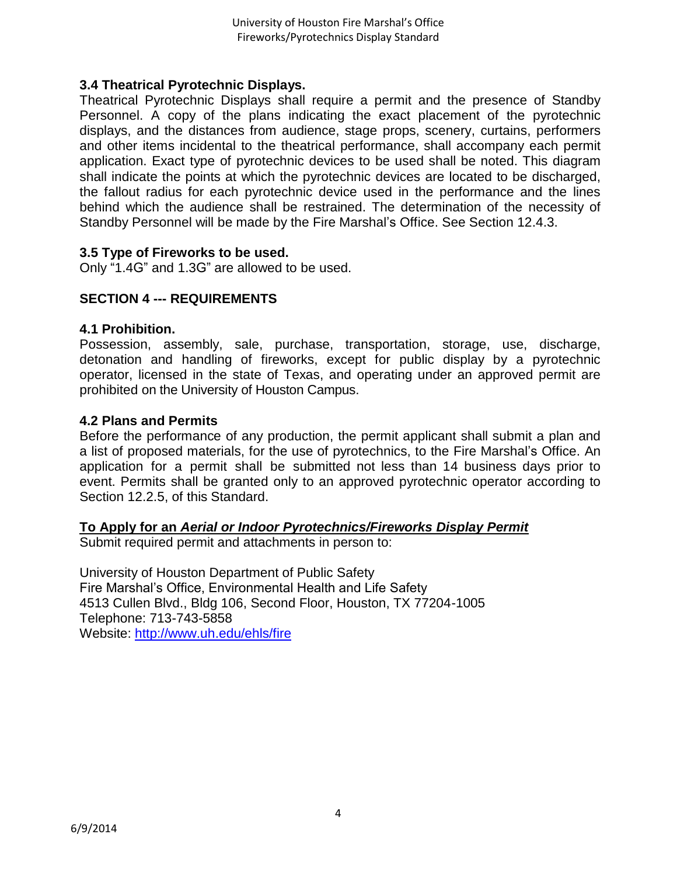## **3.4 Theatrical Pyrotechnic Displays.**

Theatrical Pyrotechnic Displays shall require a permit and the presence of Standby Personnel. A copy of the plans indicating the exact placement of the pyrotechnic displays, and the distances from audience, stage props, scenery, curtains, performers and other items incidental to the theatrical performance, shall accompany each permit application. Exact type of pyrotechnic devices to be used shall be noted. This diagram shall indicate the points at which the pyrotechnic devices are located to be discharged, the fallout radius for each pyrotechnic device used in the performance and the lines behind which the audience shall be restrained. The determination of the necessity of Standby Personnel will be made by the Fire Marshal's Office. See Section 12.4.3.

## **3.5 Type of Fireworks to be used.**

Only "1.4G" and 1.3G" are allowed to be used.

## **SECTION 4 --- REQUIREMENTS**

#### **4.1 Prohibition.**

Possession, assembly, sale, purchase, transportation, storage, use, discharge, detonation and handling of fireworks, except for public display by a pyrotechnic operator, licensed in the state of Texas, and operating under an approved permit are prohibited on the University of Houston Campus.

#### **4.2 Plans and Permits**

Before the performance of any production, the permit applicant shall submit a plan and a list of proposed materials, for the use of pyrotechnics, to the Fire Marshal's Office. An application for a permit shall be submitted not less than 14 business days prior to event. Permits shall be granted only to an approved pyrotechnic operator according to Section 12.2.5, of this Standard.

## **To Apply for an** *Aerial or Indoor Pyrotechnics/Fireworks Display Permit*

Submit required permit and attachments in person to:

University of Houston Department of Public Safety Fire Marshal's Office, Environmental Health and Life Safety 4513 Cullen Blvd., Bldg 106, Second Floor, Houston, TX 77204-1005 Telephone: 713-743-5858 Website:<http://www.uh.edu/ehls/fire>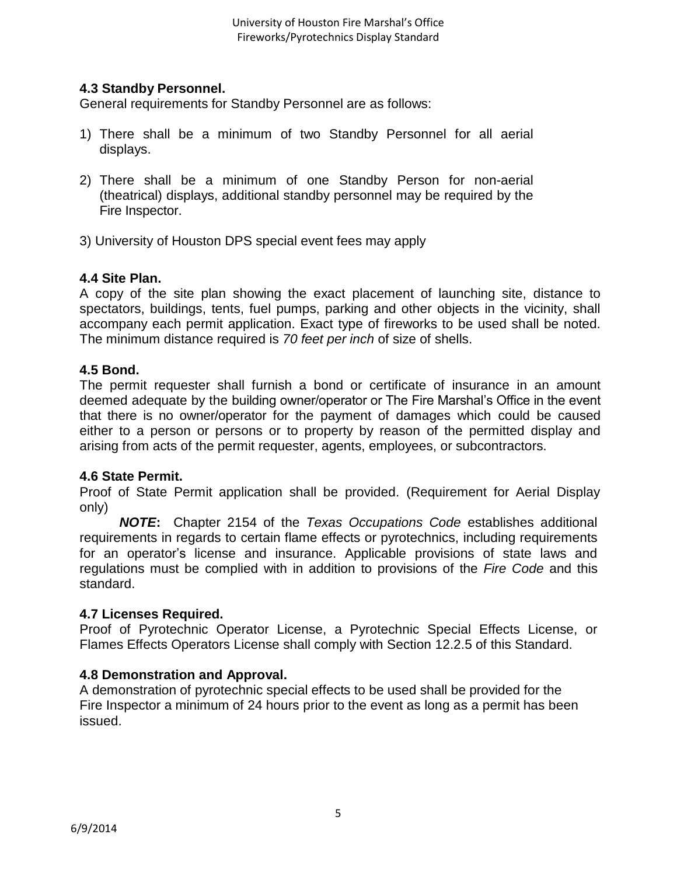## **4.3 Standby Personnel.**

General requirements for Standby Personnel are as follows:

- 1) There shall be a minimum of two Standby Personnel for all aerial displays.
- 2) There shall be a minimum of one Standby Person for non-aerial (theatrical) displays, additional standby personnel may be required by the Fire Inspector.
- 3) University of Houston DPS special event fees may apply

## **4.4 Site Plan.**

A copy of the site plan showing the exact placement of launching site, distance to spectators, buildings, tents, fuel pumps, parking and other objects in the vicinity, shall accompany each permit application. Exact type of fireworks to be used shall be noted. The minimum distance required is *70 feet per inch* of size of shells.

#### **4.5 Bond.**

The permit requester shall furnish a bond or certificate of insurance in an amount deemed adequate by the building owner/operator or The Fire Marshal's Office in the event that there is no owner/operator for the payment of damages which could be caused either to a person or persons or to property by reason of the permitted display and arising from acts of the permit requester, agents, employees, or subcontractors.

#### **4.6 State Permit.**

Proof of State Permit application shall be provided. (Requirement for Aerial Display only)

*NOTE***:** Chapter 2154 of the *Texas Occupations Code* establishes additional requirements in regards to certain flame effects or pyrotechnics, including requirements for an operator's license and insurance. Applicable provisions of state laws and regulations must be complied with in addition to provisions of the *Fire Code* and this standard.

## **4.7 Licenses Required.**

Proof of Pyrotechnic Operator License, a Pyrotechnic Special Effects License, or Flames Effects Operators License shall comply with Section 12.2.5 of this Standard.

## **4.8 Demonstration and Approval.**

A demonstration of pyrotechnic special effects to be used shall be provided for the Fire Inspector a minimum of 24 hours prior to the event as long as a permit has been issued.